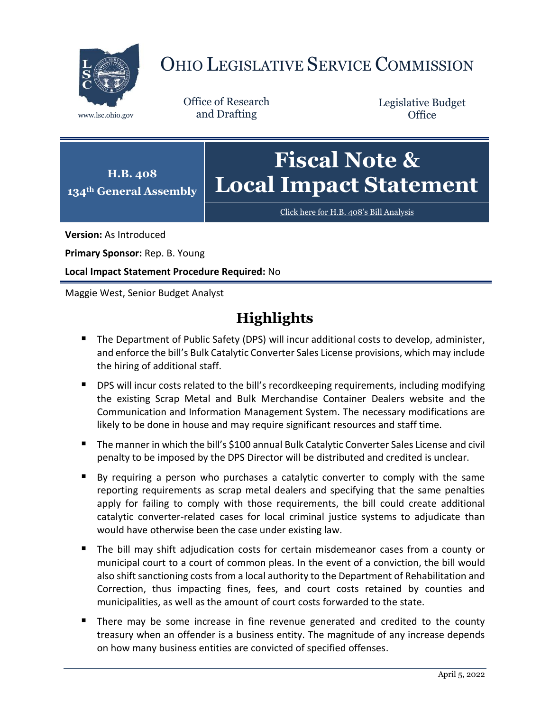

# OHIO LEGISLATIVE SERVICE COMMISSION

Office of Research www.lsc.ohio.gov and Drafting

Legislative Budget **Office** 

#### **H.B. 408 134th General Assembly Fiscal Note & Local Impact Statement**

[Click here for H.B. 408](https://www.legislature.ohio.gov/legislation/legislation-documents?id=GA134-HB-408)'s Bill Analysis

**Version:** As Introduced

**Primary Sponsor:** Rep. B. Young

**Local Impact Statement Procedure Required:** No

Maggie West, Senior Budget Analyst

# **Highlights**

- The Department of Public Safety (DPS) will incur additional costs to develop, administer, and enforce the bill's Bulk Catalytic Converter Sales License provisions, which may include the hiring of additional staff.
- **DPS will incur costs related to the bill's recordkeeping requirements, including modifying** the existing Scrap Metal and Bulk Merchandise Container Dealers website and the Communication and Information Management System. The necessary modifications are likely to be done in house and may require significant resources and staff time.
- The manner in which the bill's \$100 annual Bulk Catalytic Converter Sales License and civil penalty to be imposed by the DPS Director will be distributed and credited is unclear.
- By requiring a person who purchases a catalytic converter to comply with the same reporting requirements as scrap metal dealers and specifying that the same penalties apply for failing to comply with those requirements, the bill could create additional catalytic converter-related cases for local criminal justice systems to adjudicate than would have otherwise been the case under existing law.
- The bill may shift adjudication costs for certain misdemeanor cases from a county or municipal court to a court of common pleas. In the event of a conviction, the bill would also shift sanctioning costs from a local authority to the Department of Rehabilitation and Correction, thus impacting fines, fees, and court costs retained by counties and municipalities, as well as the amount of court costs forwarded to the state.
- There may be some increase in fine revenue generated and credited to the county treasury when an offender is a business entity. The magnitude of any increase depends on how many business entities are convicted of specified offenses.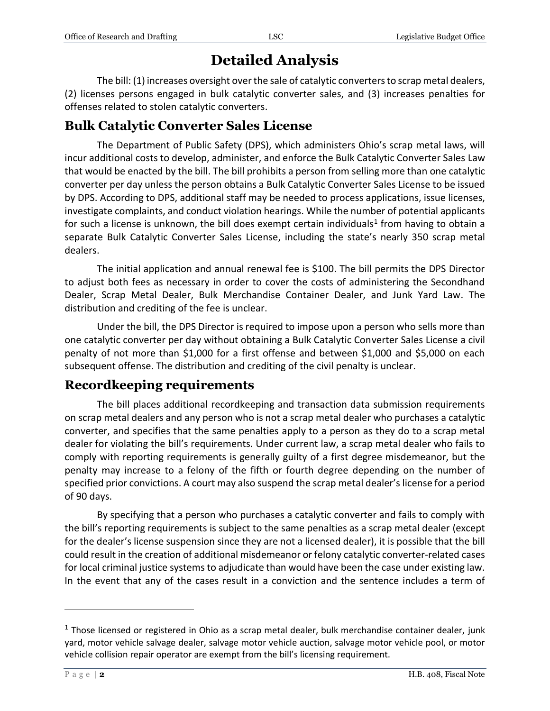# **Detailed Analysis**

The bill: (1) increases oversight overthe sale of catalytic converters to scrap metal dealers, (2) licenses persons engaged in bulk catalytic converter sales, and (3) increases penalties for offenses related to stolen catalytic converters.

### **Bulk Catalytic Converter Sales License**

The Department of Public Safety (DPS), which administers Ohio's scrap metal laws, will incur additional costs to develop, administer, and enforce the Bulk Catalytic Converter Sales Law that would be enacted by the bill. The bill prohibits a person from selling more than one catalytic converter per day unless the person obtains a Bulk Catalytic Converter Sales License to be issued by DPS. According to DPS, additional staff may be needed to process applications, issue licenses, investigate complaints, and conduct violation hearings. While the number of potential applicants for such a license is unknown, the bill does exempt certain individuals<sup>1</sup> from having to obtain a separate Bulk Catalytic Converter Sales License, including the state's nearly 350 scrap metal dealers.

The initial application and annual renewal fee is \$100. The bill permits the DPS Director to adjust both fees as necessary in order to cover the costs of administering the Secondhand Dealer, Scrap Metal Dealer, Bulk Merchandise Container Dealer, and Junk Yard Law. The distribution and crediting of the fee is unclear.

Under the bill, the DPS Director is required to impose upon a person who sells more than one catalytic converter per day without obtaining a Bulk Catalytic Converter Sales License a civil penalty of not more than \$1,000 for a first offense and between \$1,000 and \$5,000 on each subsequent offense. The distribution and crediting of the civil penalty is unclear.

## **Recordkeeping requirements**

The bill places additional recordkeeping and transaction data submission requirements on scrap metal dealers and any person who is not a scrap metal dealer who purchases a catalytic converter, and specifies that the same penalties apply to a person as they do to a scrap metal dealer for violating the bill's requirements. Under current law, a scrap metal dealer who fails to comply with reporting requirements is generally guilty of a first degree misdemeanor, but the penalty may increase to a felony of the fifth or fourth degree depending on the number of specified prior convictions. A court may also suspend the scrap metal dealer's license for a period of 90 days.

By specifying that a person who purchases a catalytic converter and fails to comply with the bill's reporting requirements is subject to the same penalties as a scrap metal dealer (except for the dealer's license suspension since they are not a licensed dealer), it is possible that the bill could result in the creation of additional misdemeanor or felony catalytic converter-related cases for local criminal justice systems to adjudicate than would have been the case under existing law. In the event that any of the cases result in a conviction and the sentence includes a term of

 $1$  Those licensed or registered in Ohio as a scrap metal dealer, bulk merchandise container dealer, junk yard, motor vehicle salvage dealer, salvage motor vehicle auction, salvage motor vehicle pool, or motor vehicle collision repair operator are exempt from the bill's licensing requirement.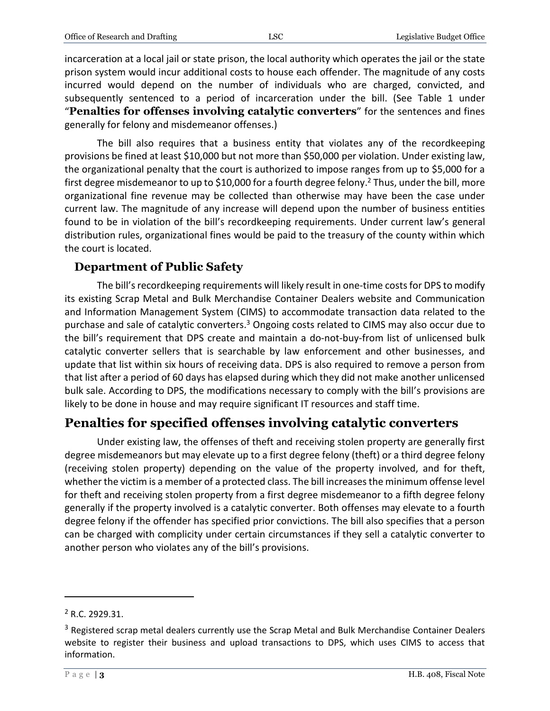incarceration at a local jail or state prison, the local authority which operates the jail or the state prison system would incur additional costs to house each offender. The magnitude of any costs incurred would depend on the number of individuals who are charged, convicted, and subsequently sentenced to a period of incarceration under the bill. (See Table 1 under "**Penalties for offenses involving catalytic converters**" for the sentences and fines generally for felony and misdemeanor offenses.)

The bill also requires that a business entity that violates any of the recordkeeping provisions be fined at least \$10,000 but not more than \$50,000 per violation. Under existing law, the organizational penalty that the court is authorized to impose ranges from up to \$5,000 for a first degree misdemeanor to up to \$10,000 for a fourth degree felony.<sup>2</sup> Thus, under the bill, more organizational fine revenue may be collected than otherwise may have been the case under current law. The magnitude of any increase will depend upon the number of business entities found to be in violation of the bill's recordkeeping requirements. Under current law's general distribution rules, organizational fines would be paid to the treasury of the county within which the court is located.

#### **Department of Public Safety**

The bill's recordkeeping requirements will likely result in one-time costs for DPS to modify its existing Scrap Metal and Bulk Merchandise Container Dealers website and Communication and Information Management System (CIMS) to accommodate transaction data related to the purchase and sale of catalytic converters.<sup>3</sup> Ongoing costs related to CIMS may also occur due to the bill's requirement that DPS create and maintain a do-not-buy-from list of unlicensed bulk catalytic converter sellers that is searchable by law enforcement and other businesses, and update that list within six hours of receiving data. DPS is also required to remove a person from that list after a period of 60 days has elapsed during which they did not make another unlicensed bulk sale. According to DPS, the modifications necessary to comply with the bill's provisions are likely to be done in house and may require significant IT resources and staff time.

## **Penalties for specified offenses involving catalytic converters**

Under existing law, the offenses of theft and receiving stolen property are generally first degree misdemeanors but may elevate up to a first degree felony (theft) or a third degree felony (receiving stolen property) depending on the value of the property involved, and for theft, whether the victim is a member of a protected class. The bill increases the minimum offense level for theft and receiving stolen property from a first degree misdemeanor to a fifth degree felony generally if the property involved is a catalytic converter. Both offenses may elevate to a fourth degree felony if the offender has specified prior convictions. The bill also specifies that a person can be charged with complicity under certain circumstances if they sell a catalytic converter to another person who violates any of the bill's provisions.

<sup>2</sup> R.C. 2929.31.

<sup>&</sup>lt;sup>3</sup> Registered scrap metal dealers currently use the Scrap Metal and Bulk Merchandise Container Dealers website to register their business and upload transactions to DPS, which uses CIMS to access that information.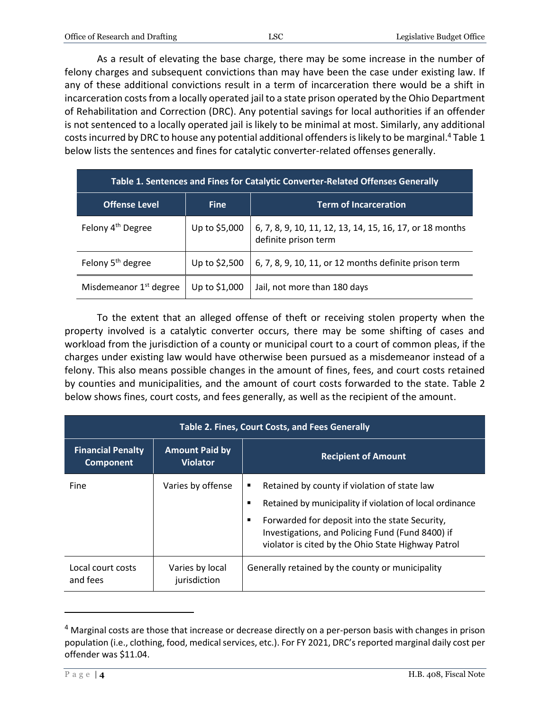As a result of elevating the base charge, there may be some increase in the number of felony charges and subsequent convictions than may have been the case under existing law. If any of these additional convictions result in a term of incarceration there would be a shift in incarceration costs from a locally operated jail to a state prison operated by the Ohio Department of Rehabilitation and Correction (DRC). Any potential savings for local authorities if an offender is not sentenced to a locally operated jail is likely to be minimal at most. Similarly, any additional costs incurred by DRC to house any potential additional offenders is likely to be marginal.<sup>4</sup> Table 1 below lists the sentences and fines for catalytic converter-related offenses generally.

| Table 1. Sentences and Fines for Catalytic Converter-Related Offenses Generally |               |                                                                                  |  |  |
|---------------------------------------------------------------------------------|---------------|----------------------------------------------------------------------------------|--|--|
| <b>Offense Level</b>                                                            | <b>Fine</b>   | <b>Term of Incarceration</b>                                                     |  |  |
| Felony 4 <sup>th</sup> Degree                                                   | Up to \$5,000 | 6, 7, 8, 9, 10, 11, 12, 13, 14, 15, 16, 17, or 18 months<br>definite prison term |  |  |
| Felony 5 <sup>th</sup> degree                                                   | Up to \$2,500 | 6, 7, 8, 9, 10, 11, or 12 months definite prison term                            |  |  |
| Misdemeanor 1 <sup>st</sup> degree                                              | Up to \$1,000 | Jail, not more than 180 days                                                     |  |  |

To the extent that an alleged offense of theft or receiving stolen property when the property involved is a catalytic converter occurs, there may be some shifting of cases and workload from the jurisdiction of a county or municipal court to a court of common pleas, if the charges under existing law would have otherwise been pursued as a misdemeanor instead of a felony. This also means possible changes in the amount of fines, fees, and court costs retained by counties and municipalities, and the amount of court costs forwarded to the state. Table 2 below shows fines, court costs, and fees generally, as well as the recipient of the amount.

| <b>Table 2. Fines, Court Costs, and Fees Generally</b> |                                          |                                                                                                                                                                                                                                                                                     |  |  |
|--------------------------------------------------------|------------------------------------------|-------------------------------------------------------------------------------------------------------------------------------------------------------------------------------------------------------------------------------------------------------------------------------------|--|--|
| <b>Financial Penalty</b><br><b>Component</b>           | <b>Amount Paid by</b><br><b>Violator</b> | <b>Recipient of Amount</b>                                                                                                                                                                                                                                                          |  |  |
| Fine                                                   | Varies by offense                        | Retained by county if violation of state law<br>п<br>Retained by municipality if violation of local ordinance<br>Е<br>Forwarded for deposit into the state Security,<br>■<br>Investigations, and Policing Fund (Fund 8400) if<br>violator is cited by the Ohio State Highway Patrol |  |  |
| Local court costs<br>and fees                          | Varies by local<br>jurisdiction          | Generally retained by the county or municipality                                                                                                                                                                                                                                    |  |  |

<sup>4</sup> Marginal costs are those that increase or decrease directly on a per-person basis with changes in prison population (i.e., clothing, food, medical services, etc.). For FY 2021, DRC's reported marginal daily cost per offender was \$11.04.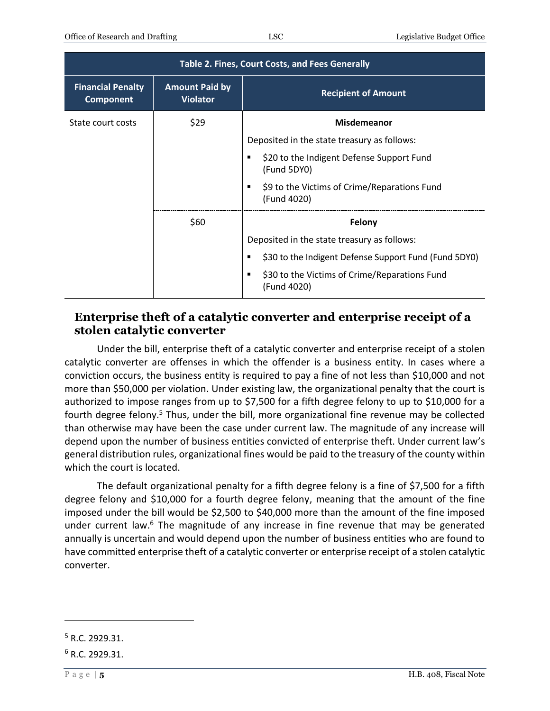| <b>Table 2. Fines, Court Costs, and Fees Generally</b> |                                          |                                                                   |  |  |
|--------------------------------------------------------|------------------------------------------|-------------------------------------------------------------------|--|--|
| <b>Financial Penalty</b><br><b>Component</b>           | <b>Amount Paid by</b><br><b>Violator</b> | <b>Recipient of Amount</b>                                        |  |  |
| State court costs                                      | \$29                                     | <b>Misdemeanor</b>                                                |  |  |
|                                                        |                                          | Deposited in the state treasury as follows:                       |  |  |
|                                                        |                                          | \$20 to the Indigent Defense Support Fund<br>(Fund 5DY0)          |  |  |
|                                                        |                                          | \$9 to the Victims of Crime/Reparations Fund<br>٠<br>(Fund 4020)  |  |  |
|                                                        | \$60                                     | Felony                                                            |  |  |
|                                                        |                                          | Deposited in the state treasury as follows:                       |  |  |
|                                                        |                                          | \$30 to the Indigent Defense Support Fund (Fund 5DY0)             |  |  |
|                                                        |                                          | \$30 to the Victims of Crime/Reparations Fund<br>п<br>(Fund 4020) |  |  |

#### **Enterprise theft of a catalytic converter and enterprise receipt of a stolen catalytic converter**

Under the bill, enterprise theft of a catalytic converter and enterprise receipt of a stolen catalytic converter are offenses in which the offender is a business entity. In cases where a conviction occurs, the business entity is required to pay a fine of not less than \$10,000 and not more than \$50,000 per violation. Under existing law, the organizational penalty that the court is authorized to impose ranges from up to \$7,500 for a fifth degree felony to up to \$10,000 for a fourth degree felony.<sup>5</sup> Thus, under the bill, more organizational fine revenue may be collected than otherwise may have been the case under current law. The magnitude of any increase will depend upon the number of business entities convicted of enterprise theft. Under current law's general distribution rules, organizational fines would be paid to the treasury of the county within which the court is located.

The default organizational penalty for a fifth degree felony is a fine of \$7,500 for a fifth degree felony and \$10,000 for a fourth degree felony, meaning that the amount of the fine imposed under the bill would be \$2,500 to \$40,000 more than the amount of the fine imposed under current law.<sup>6</sup> The magnitude of any increase in fine revenue that may be generated annually is uncertain and would depend upon the number of business entities who are found to have committed enterprise theft of a catalytic converter or enterprise receipt of a stolen catalytic converter.

<sup>5</sup> R.C. 2929.31.

 $6 R.C. 2929.31.$